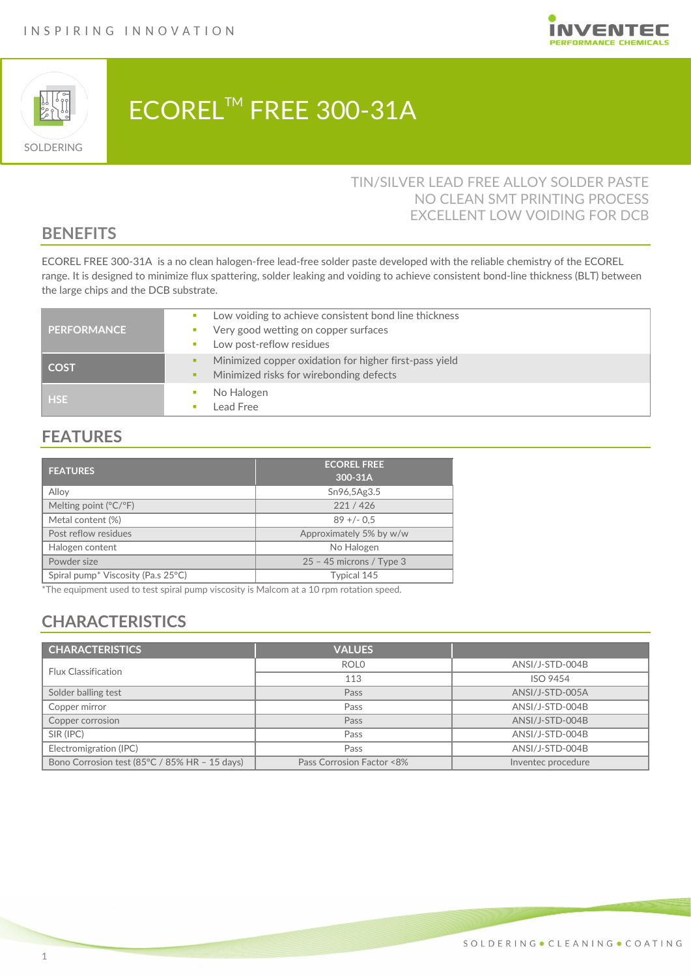



# ECOREL™ FREE 300-31A

### TIN/SILVER LEAD FREE ALLOY SOLDER PASTE NO CLEAN SMT PRINTING PROCESS EXCELLENT LOW VOIDING FOR DCB

### **BENEFITS**

ECOREL FREE 300-31A is a no clean halogen-free lead-free solder paste developed with the reliable chemistry of the ECOREL range. It is designed to minimize flux spattering, solder leaking and voiding to achieve consistent bond-line thickness (BLT) between the large chips and the DCB substrate.

| <b>PERFORMANCE</b> | Low voiding to achieve consistent bond line thickness<br>Very good wetting on copper surfaces<br>Low post-reflow residues |
|--------------------|---------------------------------------------------------------------------------------------------------------------------|
| <b>COST</b>        | Minimized copper oxidation for higher first-pass yield<br>Minimized risks for wirebonding defects                         |
| <b>HSE</b>         | No Halogen<br>Lead Free                                                                                                   |

### **FEATURES**

| <b>FEATURES</b>                                | <b>ECOREL FREE</b><br>300-31A |
|------------------------------------------------|-------------------------------|
| Allov                                          | Sn96,5Ag3.5                   |
| Melting point $(^{\circ}C/^{\circ}F)$          | 221/426                       |
| Metal content (%)                              | $89 + (-0.5)$                 |
| Post reflow residues                           | Approximately 5% by w/w       |
| Halogen content                                | No Halogen                    |
| Powder size                                    | $25 - 45$ microns / Type 3    |
| Spiral pump <sup>*</sup> Viscosity (Pa.s 25°C) | Typical 145                   |

\*The equipment used to test spiral pump viscosity is Malcom at a 10 rpm rotation speed.

# **CHARACTERISTICS**

| <b>CHARACTERISTICS</b>                        | <b>VALUES</b>             |                    |
|-----------------------------------------------|---------------------------|--------------------|
| <b>Flux Classification</b>                    | <b>ROLO</b>               | ANSI/J-STD-004B    |
|                                               | 113                       | <b>ISO 9454</b>    |
| Solder balling test                           | Pass                      | ANSI/J-STD-005A    |
| Copper mirror                                 | Pass                      | ANSI/J-STD-004B    |
| Copper corrosion                              | Pass                      | ANSI/J-STD-004B    |
| SIR (IPC)                                     | Pass                      | ANSI/J-STD-004B    |
| Electromigration (IPC)                        | Pass                      | ANSI/J-STD-004B    |
| Bono Corrosion test (85°C / 85% HR - 15 days) | Pass Corrosion Factor <8% | Inventec procedure |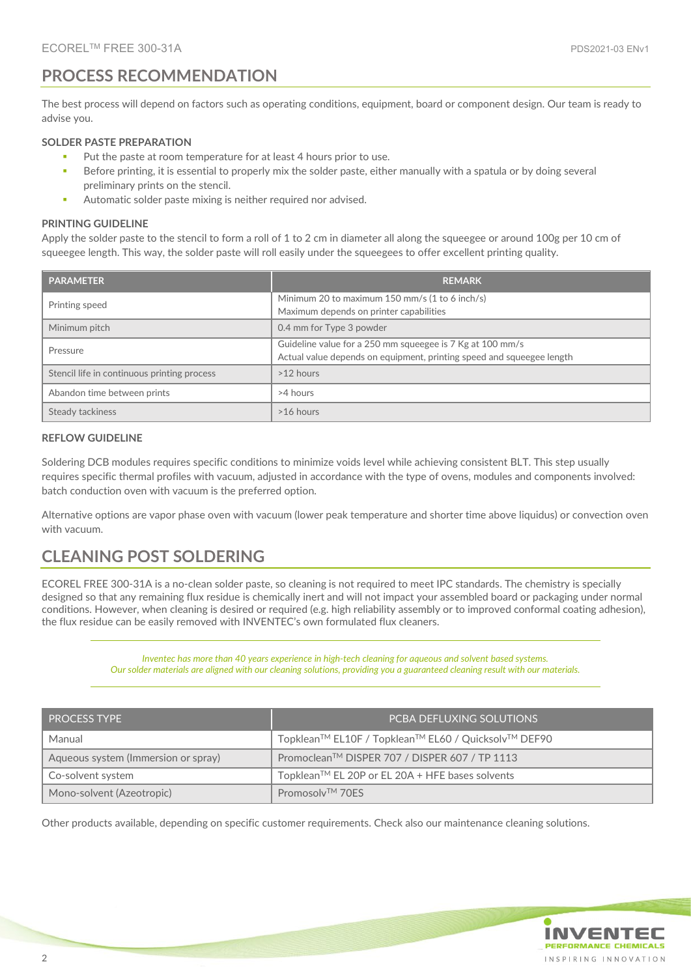# **PROCESS RECOMMENDATION**

The best process will depend on factors such as operating conditions, equipment, board or component design. Our team is ready to advise you.

#### **SOLDER PASTE PREPARATION**

- Put the paste at room temperature for at least 4 hours prior to use.
- Before printing, it is essential to properly mix the solder paste, either manually with a spatula or by doing several preliminary prints on the stencil.
- Automatic solder paste mixing is neither required nor advised.

#### **PRINTING GUIDELINE**

Apply the solder paste to the stencil to form a roll of 1 to 2 cm in diameter all along the squeegee or around 100g per 10 cm of squeegee length. This way, the solder paste will roll easily under the squeegees to offer excellent printing quality.

| <b>PARAMETER</b>                            | <b>REMARK</b>                                                                                                                      |
|---------------------------------------------|------------------------------------------------------------------------------------------------------------------------------------|
| Printing speed                              | Minimum 20 to maximum 150 mm/s $(1 \text{ to } 6 \text{ inch/s})$<br>Maximum depends on printer capabilities                       |
| Minimum pitch                               | 0.4 mm for Type 3 powder                                                                                                           |
| Pressure                                    | Guideline value for a 250 mm squeegee is 7 Kg at 100 mm/s<br>Actual value depends on equipment, printing speed and squeegee length |
| Stencil life in continuous printing process | $>12$ hours                                                                                                                        |
| Abandon time between prints                 | >4 hours                                                                                                                           |
| Steady tackiness                            | >16 hours                                                                                                                          |

#### **REFLOW GUIDELINE**

Soldering DCB modules requires specific conditions to minimize voids level while achieving consistent BLT. This step usually requires specific thermal profiles with vacuum, adjusted in accordance with the type of ovens, modules and components involved: batch conduction oven with vacuum is the preferred option.

Alternative options are vapor phase oven with vacuum (lower peak temperature and shorter time above liquidus) or convection oven with vacuum.

## **CLEANING POST SOLDERING**

ECOREL FREE 300-31A is a no-clean solder paste, so cleaning is not required to meet IPC standards. The chemistry is specially designed so that any remaining flux residue is chemically inert and will not impact your assembled board or packaging under normal conditions. However, when cleaning is desired or required (e.g. high reliability assembly or to improved conformal coating adhesion), the flux residue can be easily removed with INVENTEC's own formulated flux cleaners.

> *Inventec has more than 40 years experience in high-tech cleaning for aqueous and solvent based systems. Our solder materials are aligned with our cleaning solutions, providing you a guaranteed cleaning result with our materials.*

| <b>PROCESS TYPE</b>                 | <b>PCBA DEFLUXING SOLUTIONS</b>                     |
|-------------------------------------|-----------------------------------------------------|
| Manual                              | Topklean™ EL10F / Topklean™ EL60 / Quicksolv™ DEF90 |
| Aqueous system (Immersion or spray) | Promoclean™ DISPER 707 / DISPER 607 / TP 1113       |
| Co-solvent system                   | Topklean™ EL 20P or EL 20A + HFE bases solvents     |
| Mono-solvent (Azeotropic)           | Promosolv <sup>TM</sup> 70FS                        |

Other products available, depending on specific customer requirements. Check also our maintenance cleaning solutions.

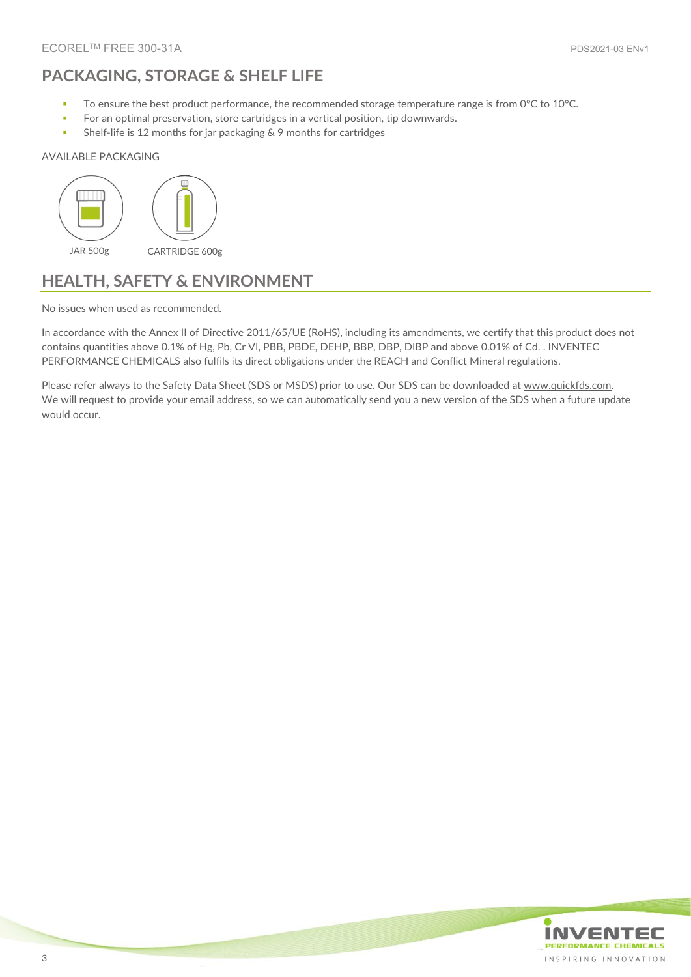# **PACKAGING, STORAGE & SHELF LIFE**

- To ensure the best product performance, the recommended storage temperature range is from 0°C to 10°C.
- **For an optimal preservation, store cartridges in a vertical position, tip downwards.**
- **Shelf-life is 12 months for jar packaging & 9 months for cartridges**

#### AVAILABLE PACKAGING



### **HEALTH, SAFETY & ENVIRONMENT**

No issues when used as recommended.

In accordance with the Annex II of Directive 2011/65/UE (RoHS), including its amendments, we certify that this product does not contains quantities above 0.1% of Hg, Pb, Cr VI, PBB, PBDE, DEHP, BBP, DBP, DIBP and above 0.01% of Cd. . INVENTEC PERFORMANCE CHEMICALS also fulfils its direct obligations under the REACH and Conflict Mineral regulations.

Please refer always to the Safety Data Sheet (SDS or MSDS) prior to use. Our SDS can be downloaded a[t www.quickfds.com.](https://www.inventec.dehon.com/en/p/material-safety-data-sheet/16.html) We will request to provide your email address, so we can automatically send you a new version of the SDS when a future update would occur.